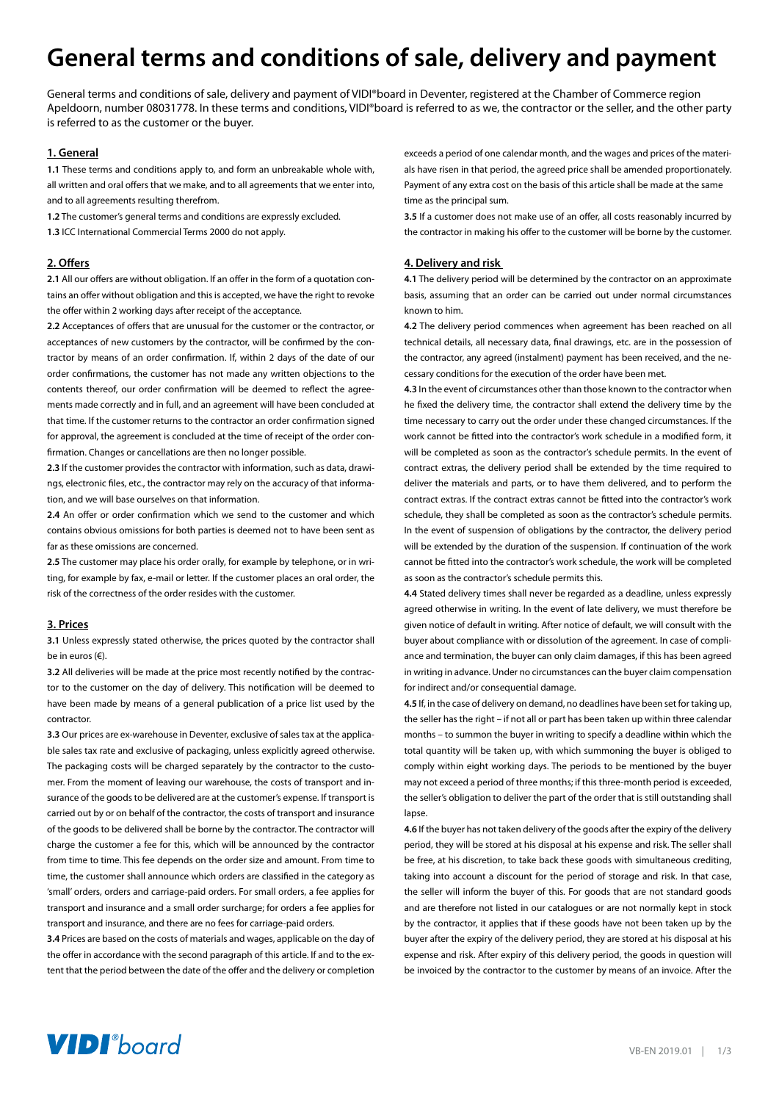# **General terms and conditions of sale, delivery and payment**

General terms and conditions of sale, delivery and payment of VIDI®board in Deventer, registered at the Chamber of Commerce region Apeldoorn, number 08031778. In these terms and conditions, VIDI®board is referred to as we, the contractor or the seller, and the other party is referred to as the customer or the buyer.

# **1. General**

**1.1** These terms and conditions apply to, and form an unbreakable whole with, all written and oral offers that we make, and to all agreements that we enter into, and to all agreements resulting therefrom.

**1.2** The customer's general terms and conditions are expressly excluded.

**1.3** ICC International Commercial Terms 2000 do not apply.

# **2. Offers**

**2.1** All our offers are without obligation. If an offer in the form of a quotation contains an offer without obligation and this is accepted, we have the right to revoke the offer within 2 working days after receipt of the acceptance.

**2.2** Acceptances of offers that are unusual for the customer or the contractor, or acceptances of new customers by the contractor, will be confirmed by the contractor by means of an order confirmation. If, within 2 days of the date of our order confirmations, the customer has not made any written objections to the contents thereof, our order confirmation will be deemed to reflect the agreements made correctly and in full, and an agreement will have been concluded at that time. If the customer returns to the contractor an order confirmation signed for approval, the agreement is concluded at the time of receipt of the order confirmation. Changes or cancellations are then no longer possible.

**2.3** If the customer provides the contractor with information, such as data, drawings, electronic files, etc., the contractor may rely on the accuracy of that information, and we will base ourselves on that information.

**2.4** An offer or order confirmation which we send to the customer and which contains obvious omissions for both parties is deemed not to have been sent as far as these omissions are concerned.

**2.5** The customer may place his order orally, for example by telephone, or in writing, for example by fax, e-mail or letter. If the customer places an oral order, the risk of the correctness of the order resides with the customer.

## **3. Prices**

**3.1** Unless expressly stated otherwise, the prices quoted by the contractor shall be in euros  $(f)$ .

**3.2** All deliveries will be made at the price most recently notified by the contractor to the customer on the day of delivery. This notification will be deemed to have been made by means of a general publication of a price list used by the contractor.

**3.3** Our prices are ex-warehouse in Deventer, exclusive of sales tax at the applicable sales tax rate and exclusive of packaging, unless explicitly agreed otherwise. The packaging costs will be charged separately by the contractor to the customer. From the moment of leaving our warehouse, the costs of transport and insurance of the goods to be delivered are at the customer's expense. If transport is carried out by or on behalf of the contractor, the costs of transport and insurance of the goods to be delivered shall be borne by the contractor. The contractor will charge the customer a fee for this, which will be announced by the contractor from time to time. This fee depends on the order size and amount. From time to time, the customer shall announce which orders are classified in the category as 'small' orders, orders and carriage-paid orders. For small orders, a fee applies for transport and insurance and a small order surcharge; for orders a fee applies for transport and insurance, and there are no fees for carriage-paid orders.

**3.4** Prices are based on the costs of materials and wages, applicable on the day of the offer in accordance with the second paragraph of this article. If and to the extent that the period between the date of the offer and the delivery or completion

exceeds a period of one calendar month, and the wages and prices of the materials have risen in that period, the agreed price shall be amended proportionately. Payment of any extra cost on the basis of this article shall be made at the same time as the principal sum.

**3.5** If a customer does not make use of an offer, all costs reasonably incurred by the contractor in making his offer to the customer will be borne by the customer.

# **4. Delivery and risk**

**4.1** The delivery period will be determined by the contractor on an approximate basis, assuming that an order can be carried out under normal circumstances known to him.

**4.2** The delivery period commences when agreement has been reached on all technical details, all necessary data, final drawings, etc. are in the possession of the contractor, any agreed (instalment) payment has been received, and the necessary conditions for the execution of the order have been met.

**4.3** In the event of circumstances other than those known to the contractor when he fixed the delivery time, the contractor shall extend the delivery time by the time necessary to carry out the order under these changed circumstances. If the work cannot be fitted into the contractor's work schedule in a modified form, it will be completed as soon as the contractor's schedule permits. In the event of contract extras, the delivery period shall be extended by the time required to deliver the materials and parts, or to have them delivered, and to perform the contract extras. If the contract extras cannot be fitted into the contractor's work schedule, they shall be completed as soon as the contractor's schedule permits. In the event of suspension of obligations by the contractor, the delivery period will be extended by the duration of the suspension. If continuation of the work cannot be fitted into the contractor's work schedule, the work will be completed as soon as the contractor's schedule permits this.

**4.4** Stated delivery times shall never be regarded as a deadline, unless expressly agreed otherwise in writing. In the event of late delivery, we must therefore be given notice of default in writing. After notice of default, we will consult with the buyer about compliance with or dissolution of the agreement. In case of compliance and termination, the buyer can only claim damages, if this has been agreed in writing in advance. Under no circumstances can the buyer claim compensation for indirect and/or consequential damage.

**4.5** If, in the case of delivery on demand, no deadlines have been set for taking up, the seller has the right – if not all or part has been taken up within three calendar months – to summon the buyer in writing to specify a deadline within which the total quantity will be taken up, with which summoning the buyer is obliged to comply within eight working days. The periods to be mentioned by the buyer may not exceed a period of three months; if this three-month period is exceeded, the seller's obligation to deliver the part of the order that is still outstanding shall lanse

**4.6** If the buyer has not taken delivery of the goods after the expiry of the delivery period, they will be stored at his disposal at his expense and risk. The seller shall be free, at his discretion, to take back these goods with simultaneous crediting, taking into account a discount for the period of storage and risk. In that case, the seller will inform the buyer of this. For goods that are not standard goods and are therefore not listed in our catalogues or are not normally kept in stock by the contractor, it applies that if these goods have not been taken up by the buyer after the expiry of the delivery period, they are stored at his disposal at his expense and risk. After expiry of this delivery period, the goods in question will be invoiced by the contractor to the customer by means of an invoice. After the

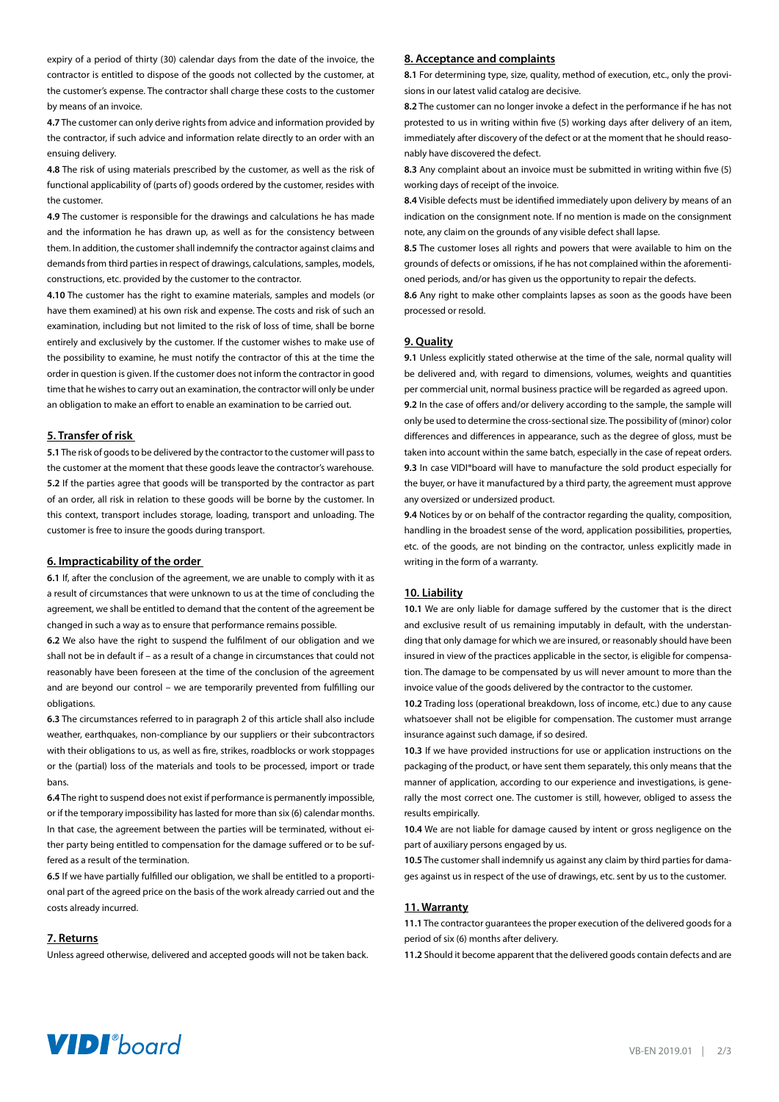expiry of a period of thirty (30) calendar days from the date of the invoice, the contractor is entitled to dispose of the goods not collected by the customer, at the customer's expense. The contractor shall charge these costs to the customer by means of an invoice.

**4.7** The customer can only derive rights from advice and information provided by the contractor, if such advice and information relate directly to an order with an ensuing delivery.

**4.8** The risk of using materials prescribed by the customer, as well as the risk of functional applicability of (parts of) goods ordered by the customer, resides with the customer.

**4.9** The customer is responsible for the drawings and calculations he has made and the information he has drawn up, as well as for the consistency between them. In addition, the customer shall indemnify the contractor against claims and demands from third parties in respect of drawings, calculations, samples, models, constructions, etc. provided by the customer to the contractor.

**4.10** The customer has the right to examine materials, samples and models (or have them examined) at his own risk and expense. The costs and risk of such an examination, including but not limited to the risk of loss of time, shall be borne entirely and exclusively by the customer. If the customer wishes to make use of the possibility to examine, he must notify the contractor of this at the time the order in question is given. If the customer does not inform the contractor in good time that he wishes to carry out an examination, the contractor will only be under an obligation to make an effort to enable an examination to be carried out.

## **5. Transfer of risk**

**5.1** The risk of goods to be delivered by the contractor to the customer will pass to the customer at the moment that these goods leave the contractor's warehouse. **5.2** If the parties agree that goods will be transported by the contractor as part of an order, all risk in relation to these goods will be borne by the customer. In this context, transport includes storage, loading, transport and unloading. The customer is free to insure the goods during transport.

## **6. Impracticability of the order**

**6.1** If, after the conclusion of the agreement, we are unable to comply with it as a result of circumstances that were unknown to us at the time of concluding the agreement, we shall be entitled to demand that the content of the agreement be changed in such a way as to ensure that performance remains possible.

**6.2** We also have the right to suspend the fulfilment of our obligation and we shall not be in default if – as a result of a change in circumstances that could not reasonably have been foreseen at the time of the conclusion of the agreement and are beyond our control – we are temporarily prevented from fulfilling our obligations.

**6.3** The circumstances referred to in paragraph 2 of this article shall also include weather, earthquakes, non-compliance by our suppliers or their subcontractors with their obligations to us, as well as fire, strikes, roadblocks or work stoppages or the (partial) loss of the materials and tools to be processed, import or trade bans.

**6.4** The right to suspend does not exist if performance is permanently impossible, or if the temporary impossibility has lasted for more than six (6) calendar months. In that case, the agreement between the parties will be terminated, without either party being entitled to compensation for the damage suffered or to be suffered as a result of the termination.

**6.5** If we have partially fulfilled our obligation, we shall be entitled to a proportional part of the agreed price on the basis of the work already carried out and the costs already incurred.

#### **7. Returns**

Unless agreed otherwise, delivered and accepted goods will not be taken back.

#### **8. Acceptance and complaints**

**8.1** For determining type, size, quality, method of execution, etc., only the provisions in our latest valid catalog are decisive.

**8.2** The customer can no longer invoke a defect in the performance if he has not protested to us in writing within five (5) working days after delivery of an item, immediately after discovery of the defect or at the moment that he should reasonably have discovered the defect.

**8.3** Any complaint about an invoice must be submitted in writing within five (5) working days of receipt of the invoice.

**8.4** Visible defects must be identified immediately upon delivery by means of an indication on the consignment note. If no mention is made on the consignment note, any claim on the grounds of any visible defect shall lapse.

**8.5** The customer loses all rights and powers that were available to him on the grounds of defects or omissions, if he has not complained within the aforementioned periods, and/or has given us the opportunity to repair the defects.

**8.6** Any right to make other complaints lapses as soon as the goods have been processed or resold.

#### **9. Quality**

**9.1** Unless explicitly stated otherwise at the time of the sale, normal quality will be delivered and, with regard to dimensions, volumes, weights and quantities per commercial unit, normal business practice will be regarded as agreed upon. **9.2** In the case of offers and/or delivery according to the sample, the sample will

only be used to determine the cross-sectional size. The possibility of (minor) color differences and differences in appearance, such as the degree of gloss, must be taken into account within the same batch, especially in the case of repeat orders. **9.3** In case VIDI®board will have to manufacture the sold product especially for the buyer, or have it manufactured by a third party, the agreement must approve any oversized or undersized product.

**9.4** Notices by or on behalf of the contractor regarding the quality, composition, handling in the broadest sense of the word, application possibilities, properties, etc. of the goods, are not binding on the contractor, unless explicitly made in writing in the form of a warranty.

# **10. Liability**

**10.1** We are only liable for damage suffered by the customer that is the direct and exclusive result of us remaining imputably in default, with the understanding that only damage for which we are insured, or reasonably should have been insured in view of the practices applicable in the sector, is eligible for compensation. The damage to be compensated by us will never amount to more than the invoice value of the goods delivered by the contractor to the customer.

**10.2** Trading loss (operational breakdown, loss of income, etc.) due to any cause whatsoever shall not be eligible for compensation. The customer must arrange insurance against such damage, if so desired.

**10.3** If we have provided instructions for use or application instructions on the packaging of the product, or have sent them separately, this only means that the manner of application, according to our experience and investigations, is generally the most correct one. The customer is still, however, obliged to assess the results empirically.

**10.4** We are not liable for damage caused by intent or gross negligence on the part of auxiliary persons engaged by us.

**10.5** The customer shall indemnify us against any claim by third parties for damages against us in respect of the use of drawings, etc. sent by us to the customer.

## **11. Warranty**

**11.1** The contractor guarantees the proper execution of the delivered goods for a period of six (6) months after delivery.

**11.2** Should it become apparent that the delivered goods contain defects and are